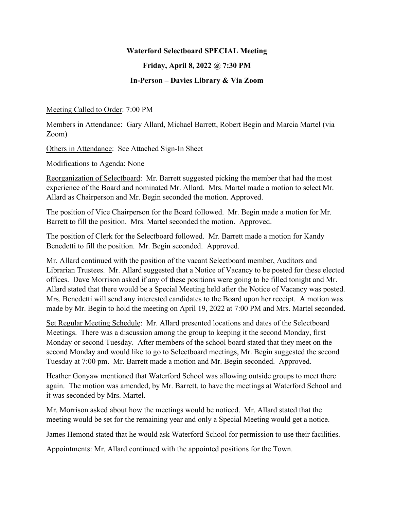## **Waterford Selectboard SPECIAL Meeting**

**Friday, April 8, 2022 @ 7:30 PM** 

## **In-Person – Davies Library & Via Zoom**

Meeting Called to Order: 7:00 PM

Members in Attendance: Gary Allard, Michael Barrett, Robert Begin and Marcia Martel (via Zoom)

Others in Attendance: See Attached Sign-In Sheet

Modifications to Agenda: None

Reorganization of Selectboard: Mr. Barrett suggested picking the member that had the most experience of the Board and nominated Mr. Allard. Mrs. Martel made a motion to select Mr. Allard as Chairperson and Mr. Begin seconded the motion. Approved.

The position of Vice Chairperson for the Board followed. Mr. Begin made a motion for Mr. Barrett to fill the position. Mrs. Martel seconded the motion. Approved.

The position of Clerk for the Selectboard followed. Mr. Barrett made a motion for Kandy Benedetti to fill the position. Mr. Begin seconded. Approved.

Mr. Allard continued with the position of the vacant Selectboard member, Auditors and Librarian Trustees. Mr. Allard suggested that a Notice of Vacancy to be posted for these elected offices. Dave Morrison asked if any of these positions were going to be filled tonight and Mr. Allard stated that there would be a Special Meeting held after the Notice of Vacancy was posted. Mrs. Benedetti will send any interested candidates to the Board upon her receipt. A motion was made by Mr. Begin to hold the meeting on April 19, 2022 at 7:00 PM and Mrs. Martel seconded.

Set Regular Meeting Schedule: Mr. Allard presented locations and dates of the Selectboard Meetings. There was a discussion among the group to keeping it the second Monday, first Monday or second Tuesday. After members of the school board stated that they meet on the second Monday and would like to go to Selectboard meetings, Mr. Begin suggested the second Tuesday at 7:00 pm. Mr. Barrett made a motion and Mr. Begin seconded. Approved.

Heather Gonyaw mentioned that Waterford School was allowing outside groups to meet there again. The motion was amended, by Mr. Barrett, to have the meetings at Waterford School and it was seconded by Mrs. Martel.

Mr. Morrison asked about how the meetings would be noticed. Mr. Allard stated that the meeting would be set for the remaining year and only a Special Meeting would get a notice.

James Hemond stated that he would ask Waterford School for permission to use their facilities.

Appointments: Mr. Allard continued with the appointed positions for the Town.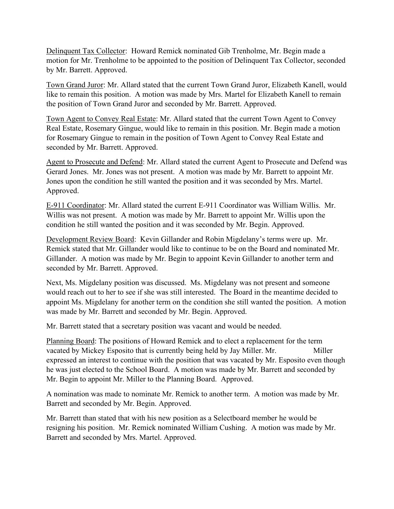Delinquent Tax Collector: Howard Remick nominated Gib Trenholme, Mr. Begin made a motion for Mr. Trenholme to be appointed to the position of Delinquent Tax Collector, seconded by Mr. Barrett. Approved.

Town Grand Juror: Mr. Allard stated that the current Town Grand Juror, Elizabeth Kanell, would like to remain this position. A motion was made by Mrs. Martel for Elizabeth Kanell to remain the position of Town Grand Juror and seconded by Mr. Barrett. Approved.

Town Agent to Convey Real Estate: Mr. Allard stated that the current Town Agent to Convey Real Estate, Rosemary Gingue, would like to remain in this position. Mr. Begin made a motion for Rosemary Gingue to remain in the position of Town Agent to Convey Real Estate and seconded by Mr. Barrett. Approved.

Agent to Prosecute and Defend: Mr. Allard stated the current Agent to Prosecute and Defend was Gerard Jones. Mr. Jones was not present. A motion was made by Mr. Barrett to appoint Mr. Jones upon the condition he still wanted the position and it was seconded by Mrs. Martel. Approved.

E-911 Coordinator: Mr. Allard stated the current E-911 Coordinator was William Willis. Mr. Willis was not present. A motion was made by Mr. Barrett to appoint Mr. Willis upon the condition he still wanted the position and it was seconded by Mr. Begin. Approved.

Development Review Board: Kevin Gillander and Robin Migdelany's terms were up. Mr. Remick stated that Mr. Gillander would like to continue to be on the Board and nominated Mr. Gillander. A motion was made by Mr. Begin to appoint Kevin Gillander to another term and seconded by Mr. Barrett. Approved.

Next, Ms. Migdelany position was discussed. Ms. Migdelany was not present and someone would reach out to her to see if she was still interested. The Board in the meantime decided to appoint Ms. Migdelany for another term on the condition she still wanted the position. A motion was made by Mr. Barrett and seconded by Mr. Begin. Approved.

Mr. Barrett stated that a secretary position was vacant and would be needed.

Planning Board: The positions of Howard Remick and to elect a replacement for the term vacated by Mickey Esposito that is currently being held by Jay Miller. Mr. Miller expressed an interest to continue with the position that was vacated by Mr. Esposito even though he was just elected to the School Board. A motion was made by Mr. Barrett and seconded by Mr. Begin to appoint Mr. Miller to the Planning Board. Approved.

A nomination was made to nominate Mr. Remick to another term. A motion was made by Mr. Barrett and seconded by Mr. Begin. Approved.

Mr. Barrett than stated that with his new position as a Selectboard member he would be resigning his position. Mr. Remick nominated William Cushing. A motion was made by Mr. Barrett and seconded by Mrs. Martel. Approved.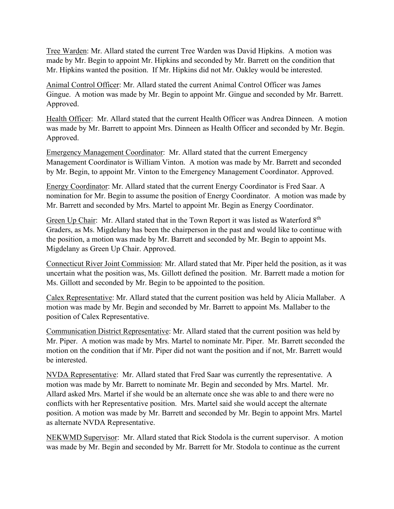Tree Warden: Mr. Allard stated the current Tree Warden was David Hipkins. A motion was made by Mr. Begin to appoint Mr. Hipkins and seconded by Mr. Barrett on the condition that Mr. Hipkins wanted the position. If Mr. Hipkins did not Mr. Oakley would be interested.

Animal Control Officer: Mr. Allard stated the current Animal Control Officer was James Gingue. A motion was made by Mr. Begin to appoint Mr. Gingue and seconded by Mr. Barrett. Approved.

Health Officer: Mr. Allard stated that the current Health Officer was Andrea Dinneen. A motion was made by Mr. Barrett to appoint Mrs. Dinneen as Health Officer and seconded by Mr. Begin. Approved.

Emergency Management Coordinator: Mr. Allard stated that the current Emergency Management Coordinator is William Vinton. A motion was made by Mr. Barrett and seconded by Mr. Begin, to appoint Mr. Vinton to the Emergency Management Coordinator. Approved.

Energy Coordinator: Mr. Allard stated that the current Energy Coordinator is Fred Saar. A nomination for Mr. Begin to assume the position of Energy Coordinator. A motion was made by Mr. Barrett and seconded by Mrs. Martel to appoint Mr. Begin as Energy Coordinator.

Green Up Chair: Mr. Allard stated that in the Town Report it was listed as Waterford 8<sup>th</sup> Graders, as Ms. Migdelany has been the chairperson in the past and would like to continue with the position, a motion was made by Mr. Barrett and seconded by Mr. Begin to appoint Ms. Migdelany as Green Up Chair. Approved.

Connecticut River Joint Commission: Mr. Allard stated that Mr. Piper held the position, as it was uncertain what the position was, Ms. Gillott defined the position. Mr. Barrett made a motion for Ms. Gillott and seconded by Mr. Begin to be appointed to the position.

Calex Representative: Mr. Allard stated that the current position was held by Alicia Mallaber. A motion was made by Mr. Begin and seconded by Mr. Barrett to appoint Ms. Mallaber to the position of Calex Representative.

Communication District Representative: Mr. Allard stated that the current position was held by Mr. Piper. A motion was made by Mrs. Martel to nominate Mr. Piper. Mr. Barrett seconded the motion on the condition that if Mr. Piper did not want the position and if not, Mr. Barrett would be interested.

NVDA Representative: Mr. Allard stated that Fred Saar was currently the representative. A motion was made by Mr. Barrett to nominate Mr. Begin and seconded by Mrs. Martel. Mr. Allard asked Mrs. Martel if she would be an alternate once she was able to and there were no conflicts with her Representative position. Mrs. Martel said she would accept the alternate position. A motion was made by Mr. Barrett and seconded by Mr. Begin to appoint Mrs. Martel as alternate NVDA Representative.

NEKWMD Supervisor: Mr. Allard stated that Rick Stodola is the current supervisor. A motion was made by Mr. Begin and seconded by Mr. Barrett for Mr. Stodola to continue as the current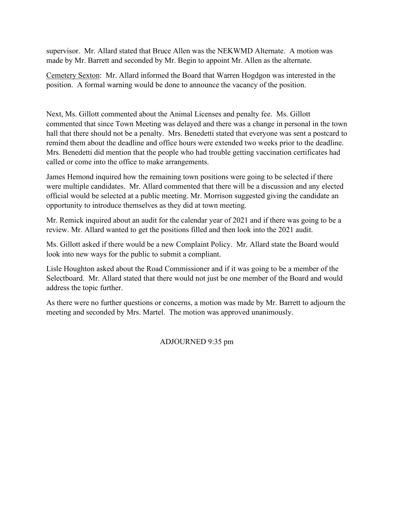supervisor. Mr. Allard stated that Bruce Allen was the NEKWMD Alternate. A motion was made by Mr. Barrett and seconded by Mr. Begin to appoint Mr. Allen as the alternate.

Cemetery Sexton: Mr. Allard informed the Board that Warren Hogdgon was interested in the position. A formal warning would be done to announce the vacancy of the position.

Next, Ms. Gillott commented about the Animal Licenses and penalty fee. Ms. Gillott commented that since Town Meeting was delayed and there was a change in personal in the town hall that there should not be a penalty. Mrs. Benedetti stated that everyone was sent a postcard to remind them about the deadline and office hours were extended two weeks prior to the deadline. Mrs. Benedetti did mention that the people who had trouble getting vaccination certificates had called or come into the office to make arrangements.

James Hemond inquired how the remaining town positions were going to be selected if there were multiple candidates. Mr. Allard commented that there will be a discussion and any elected official would be selected at a public meeting. Mr. Morrison suggested giving the candidate an opportunity to introduce themselves as they did at town meeting.

Mr. Remick inquired about an audit for the calendar year of 2021 and if there was going to be a review. Mr. Allard wanted to get the positions filled and then look into the 2021 audit.

Ms. Gillott asked if there would be a new Complaint Policy. Mr. Allard state the Board would look into new ways for the public to submit a compliant.

Lisle Houghton asked about the Road Commissioner and if it was going to be a member of the Selectboard. Mr. Allard stated that there would not just be one member of the Board and would address the topic further.

As there were no further questions or concerns, a motion was made by Mr. Barrett to adjourn the meeting and seconded by Mrs. Martel. The motion was approved unanimously.

ADJOURNED 9:35 pm